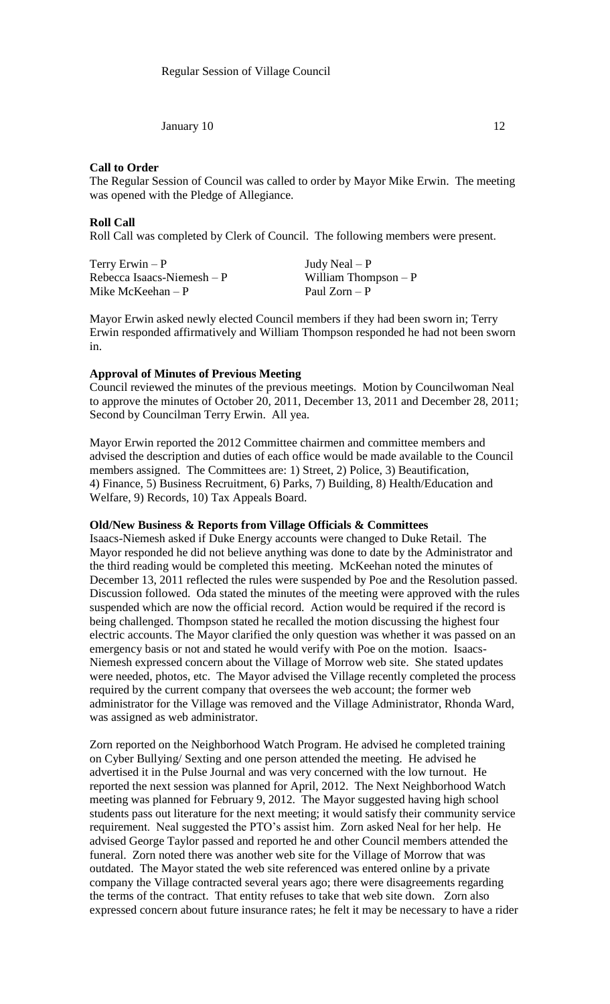January  $10 \t\t 12$ 

### **Call to Order**

The Regular Session of Council was called to order by Mayor Mike Erwin. The meeting was opened with the Pledge of Allegiance.

### **Roll Call**

Roll Call was completed by Clerk of Council. The following members were present.

| Terry Erwin $-P$            | Judy Neal $-P$        |
|-----------------------------|-----------------------|
| Rebecca Isaacs-Niemesh $-P$ | William Thompson $-P$ |
| Mike McKeehan $-P$          | Paul Zorn $-P$        |

Mayor Erwin asked newly elected Council members if they had been sworn in; Terry Erwin responded affirmatively and William Thompson responded he had not been sworn in.

## **Approval of Minutes of Previous Meeting**

Council reviewed the minutes of the previous meetings. Motion by Councilwoman Neal to approve the minutes of October 20, 2011, December 13, 2011 and December 28, 2011; Second by Councilman Terry Erwin. All yea.

Mayor Erwin reported the 2012 Committee chairmen and committee members and advised the description and duties of each office would be made available to the Council members assigned. The Committees are: 1) Street, 2) Police, 3) Beautification, 4) Finance, 5) Business Recruitment, 6) Parks, 7) Building, 8) Health/Education and Welfare, 9) Records, 10) Tax Appeals Board.

### **Old/New Business & Reports from Village Officials & Committees**

Isaacs-Niemesh asked if Duke Energy accounts were changed to Duke Retail. The Mayor responded he did not believe anything was done to date by the Administrator and the third reading would be completed this meeting. McKeehan noted the minutes of December 13, 2011 reflected the rules were suspended by Poe and the Resolution passed. Discussion followed. Oda stated the minutes of the meeting were approved with the rules suspended which are now the official record. Action would be required if the record is being challenged. Thompson stated he recalled the motion discussing the highest four electric accounts. The Mayor clarified the only question was whether it was passed on an emergency basis or not and stated he would verify with Poe on the motion. Isaacs-Niemesh expressed concern about the Village of Morrow web site. She stated updates were needed, photos, etc. The Mayor advised the Village recently completed the process required by the current company that oversees the web account; the former web administrator for the Village was removed and the Village Administrator, Rhonda Ward, was assigned as web administrator.

Zorn reported on the Neighborhood Watch Program. He advised he completed training on Cyber Bullying/ Sexting and one person attended the meeting. He advised he advertised it in the Pulse Journal and was very concerned with the low turnout. He reported the next session was planned for April, 2012. The Next Neighborhood Watch meeting was planned for February 9, 2012. The Mayor suggested having high school students pass out literature for the next meeting; it would satisfy their community service requirement. Neal suggested the PTO's assist him. Zorn asked Neal for her help. He advised George Taylor passed and reported he and other Council members attended the funeral. Zorn noted there was another web site for the Village of Morrow that was outdated. The Mayor stated the web site referenced was entered online by a private company the Village contracted several years ago; there were disagreements regarding the terms of the contract. That entity refuses to take that web site down. Zorn also expressed concern about future insurance rates; he felt it may be necessary to have a rider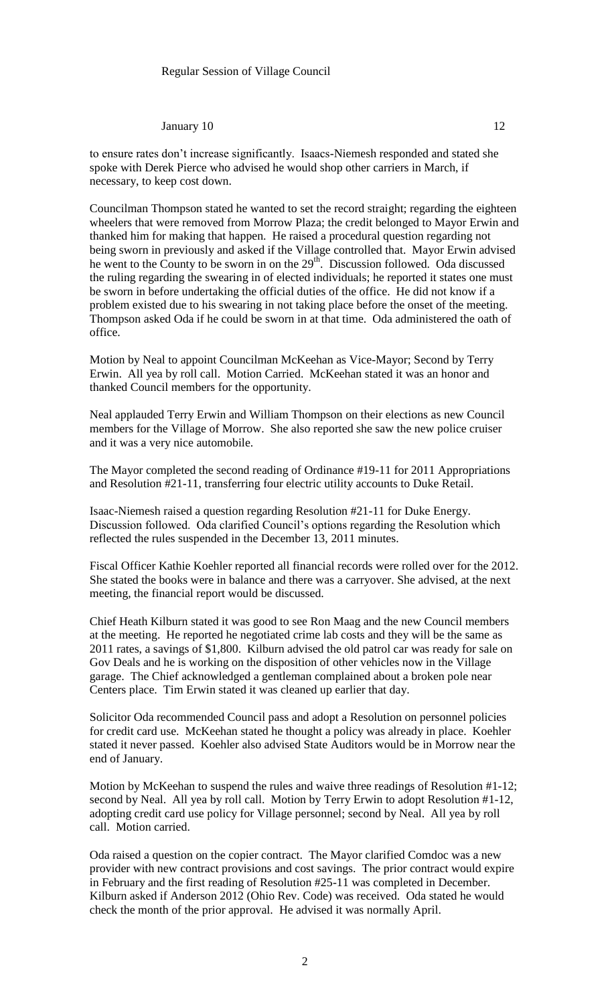#### January  $10 \t\t 12$

to ensure rates don't increase significantly. Isaacs-Niemesh responded and stated she spoke with Derek Pierce who advised he would shop other carriers in March, if necessary, to keep cost down.

Councilman Thompson stated he wanted to set the record straight; regarding the eighteen wheelers that were removed from Morrow Plaza; the credit belonged to Mayor Erwin and thanked him for making that happen. He raised a procedural question regarding not being sworn in previously and asked if the Village controlled that. Mayor Erwin advised he went to the County to be sworn in on the 29<sup>th</sup>. Discussion followed. Oda discussed the ruling regarding the swearing in of elected individuals; he reported it states one must be sworn in before undertaking the official duties of the office. He did not know if a problem existed due to his swearing in not taking place before the onset of the meeting. Thompson asked Oda if he could be sworn in at that time. Oda administered the oath of office.

Motion by Neal to appoint Councilman McKeehan as Vice-Mayor; Second by Terry Erwin. All yea by roll call. Motion Carried. McKeehan stated it was an honor and thanked Council members for the opportunity.

Neal applauded Terry Erwin and William Thompson on their elections as new Council members for the Village of Morrow. She also reported she saw the new police cruiser and it was a very nice automobile.

The Mayor completed the second reading of Ordinance #19-11 for 2011 Appropriations and Resolution #21-11, transferring four electric utility accounts to Duke Retail.

Isaac-Niemesh raised a question regarding Resolution #21-11 for Duke Energy. Discussion followed. Oda clarified Council's options regarding the Resolution which reflected the rules suspended in the December 13, 2011 minutes.

Fiscal Officer Kathie Koehler reported all financial records were rolled over for the 2012. She stated the books were in balance and there was a carryover. She advised, at the next meeting, the financial report would be discussed.

Chief Heath Kilburn stated it was good to see Ron Maag and the new Council members at the meeting. He reported he negotiated crime lab costs and they will be the same as 2011 rates, a savings of \$1,800. Kilburn advised the old patrol car was ready for sale on Gov Deals and he is working on the disposition of other vehicles now in the Village garage. The Chief acknowledged a gentleman complained about a broken pole near Centers place. Tim Erwin stated it was cleaned up earlier that day.

Solicitor Oda recommended Council pass and adopt a Resolution on personnel policies for credit card use. McKeehan stated he thought a policy was already in place. Koehler stated it never passed. Koehler also advised State Auditors would be in Morrow near the end of January.

Motion by McKeehan to suspend the rules and waive three readings of Resolution #1-12; second by Neal. All yea by roll call. Motion by Terry Erwin to adopt Resolution #1-12, adopting credit card use policy for Village personnel; second by Neal. All yea by roll call. Motion carried.

Oda raised a question on the copier contract. The Mayor clarified Comdoc was a new provider with new contract provisions and cost savings. The prior contract would expire in February and the first reading of Resolution #25-11 was completed in December. Kilburn asked if Anderson 2012 (Ohio Rev. Code) was received. Oda stated he would check the month of the prior approval. He advised it was normally April.